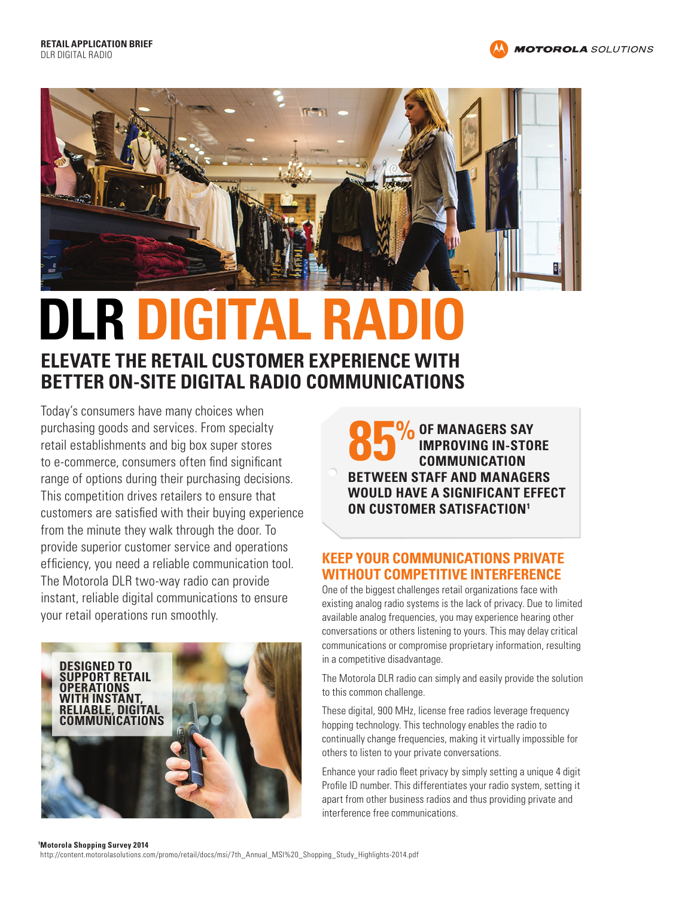



# **DLR DIGITAL RA**

## **ELEVATE THE RETAIL CUSTOMER EXPERIENCE WITH BETTER ON-SITE DIGITAL RADIO COMMUNICATIONS**

Today's consumers have many choices when purchasing goods and services. From specialty retail establishments and big box super stores to e-commerce, consumers often find significant range of options during their purchasing decisions. This competition drives retailers to ensure that customers are satisfied with their buying experience from the minute they walk through the door. To provide superior customer service and operations efficiency, you need a reliable communication tool. The Motorola DLR two-way radio can provide instant, reliable digital communications to ensure your retail operations run smoothly.



**OF MANAGERS SAY IMPROVING IN-STORE COMMUNICATION BETWEEN STAFF AND MANAGERS WOULD HAVE A SIGNIFICANT EFFECT ON CUSTOMER SATISFACTION1 85%**

#### **KEEP YOUR COMMUNICATIONS PRIVATE WITHOUT COMPETITIVE INTERFERENCE**

One of the biggest challenges retail organizations face with existing analog radio systems is the lack of privacy. Due to limited available analog frequencies, you may experience hearing other conversations or others listening to yours. This may delay critical communications or compromise proprietary information, resulting in a competitive disadvantage.

The Motorola DLR radio can simply and easily provide the solution to this common challenge.

These digital, 900 MHz, license free radios leverage frequency hopping technology. This technology enables the radio to continually change frequencies, making it virtually impossible for others to listen to your private conversations.

Enhance your radio fleet privacy by simply setting a unique 4 digit Profile ID number. This differentiates your radio system, setting it apart from other business radios and thus providing private and interference free communications.